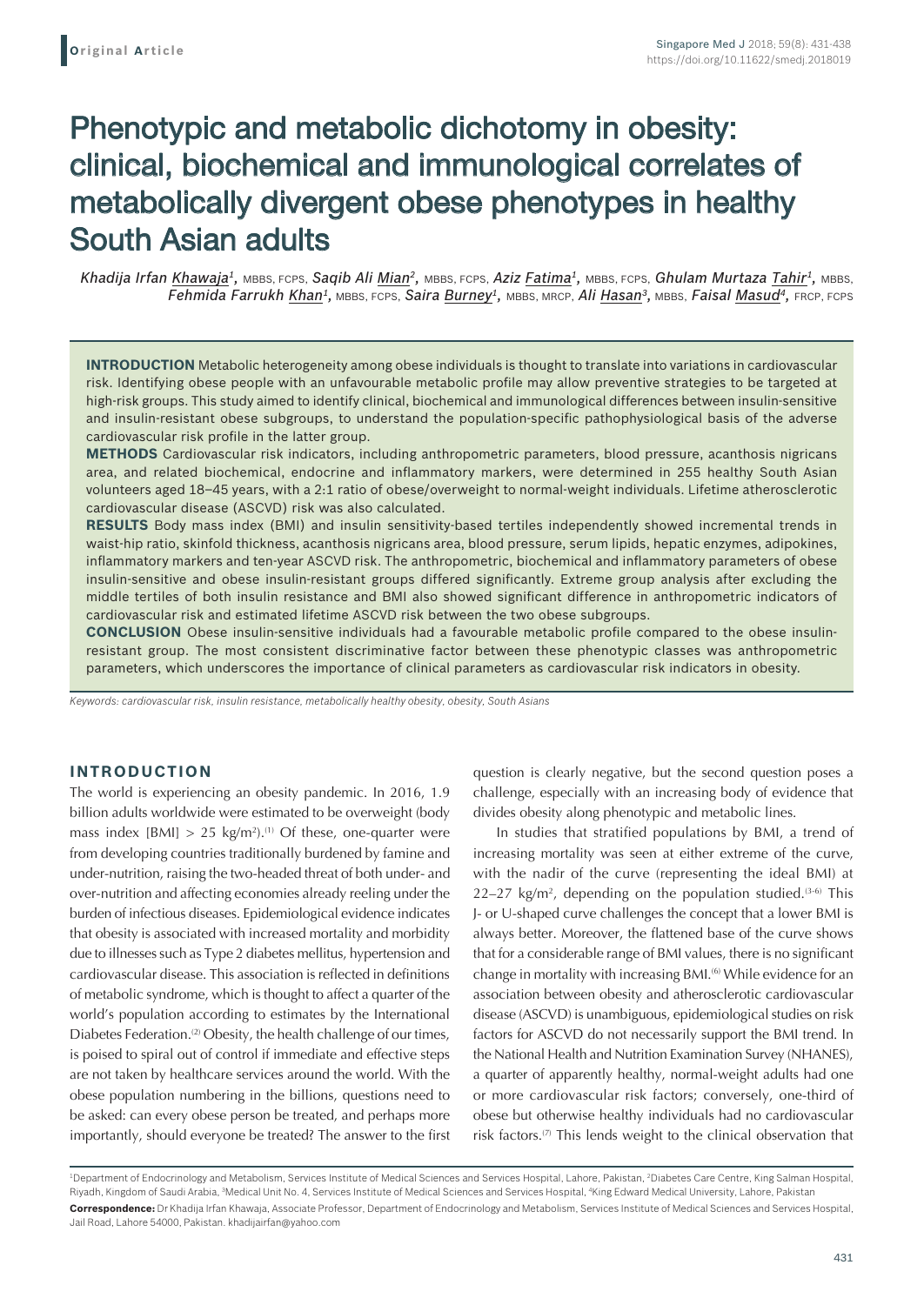# Phenotypic and metabolic dichotomy in obesity: clinical, biochemical and immunological correlates of metabolically divergent obese phenotypes in healthy South Asian adults

*Khadija Irfan Khawaja1,* MBBS, FCPS, *Saqib Ali Mian2,* MBBS, FCPS, *Aziz Fatima1,* MBBS, FCPS, *Ghulam Murtaza Tahir1,* MBBS, *Fehmida Farrukh Khan1,* MBBS, FCPS, *Saira Burney1,* MBBS, MRCP, *Ali Hasan3,* MBBS, *Faisal Masud4,* FRCP, FCPS

**INTRODUCTION** Metabolic heterogeneity among obese individuals is thought to translate into variations in cardiovascular risk. Identifying obese people with an unfavourable metabolic profile may allow preventive strategies to be targeted at high-risk groups. This study aimed to identify clinical, biochemical and immunological differences between insulin-sensitive and insulin-resistant obese subgroups, to understand the population-specific pathophysiological basis of the adverse cardiovascular risk profile in the latter group.

**METHODS** Cardiovascular risk indicators, including anthropometric parameters, blood pressure, acanthosis nigricans area, and related biochemical, endocrine and inflammatory markers, were determined in 255 healthy South Asian volunteers aged 18–45 years, with a 2:1 ratio of obese/overweight to normal-weight individuals. Lifetime atherosclerotic cardiovascular disease (ASCVD) risk was also calculated.

**RESULTS** Body mass index (BMI) and insulin sensitivity-based tertiles independently showed incremental trends in waist-hip ratio, skinfold thickness, acanthosis nigricans area, blood pressure, serum lipids, hepatic enzymes, adipokines, inflammatory markers and ten-year ASCVD risk. The anthropometric, biochemical and inflammatory parameters of obese insulin-sensitive and obese insulin-resistant groups differed significantly. Extreme group analysis after excluding the middle tertiles of both insulin resistance and BMI also showed significant difference in anthropometric indicators of cardiovascular risk and estimated lifetime ASCVD risk between the two obese subgroups.

**CONCLUSION** Obese insulin-sensitive individuals had a favourable metabolic profile compared to the obese insulinresistant group. The most consistent discriminative factor between these phenotypic classes was anthropometric parameters, which underscores the importance of clinical parameters as cardiovascular risk indicators in obesity.

*Keywords: cardiovascular risk, insulin resistance, metabolically healthy obesity, obesity, South Asians*

# **INTRODUCTION**

The world is experiencing an obesity pandemic. In 2016, 1.9 billion adults worldwide were estimated to be overweight (body mass index  $[BM] > 25 \text{ kg/m}^2$ .<sup>(1)</sup> Of these, one-quarter were from developing countries traditionally burdened by famine and under-nutrition, raising the two-headed threat of both under- and over-nutrition and affecting economies already reeling under the burden of infectious diseases. Epidemiological evidence indicates that obesity is associated with increased mortality and morbidity due to illnesses such as Type 2 diabetes mellitus, hypertension and cardiovascular disease. This association is reflected in definitions of metabolic syndrome, which is thought to affect a quarter of the world's population according to estimates by the International Diabetes Federation.<sup>(2)</sup> Obesity, the health challenge of our times, is poised to spiral out of control if immediate and effective steps are not taken by healthcare services around the world. With the obese population numbering in the billions, questions need to be asked: can every obese person be treated, and perhaps more importantly, should everyone be treated? The answer to the first

question is clearly negative, but the second question poses a challenge, especially with an increasing body of evidence that divides obesity along phenotypic and metabolic lines.

In studies that stratified populations by BMI, a trend of increasing mortality was seen at either extreme of the curve, with the nadir of the curve (representing the ideal BMI) at  $22-27$  kg/m<sup>2</sup>, depending on the population studied.<sup>(3-6)</sup> This J- or U-shaped curve challenges the concept that a lower BMI is always better. Moreover, the flattened base of the curve shows that for a considerable range of BMI values, there is no significant change in mortality with increasing BMI.<sup>(6)</sup> While evidence for an association between obesity and atherosclerotic cardiovascular disease (ASCVD) is unambiguous, epidemiological studies on risk factors for ASCVD do not necessarily support the BMI trend. In the National Health and Nutrition Examination Survey (NHANES), a quarter of apparently healthy, normal-weight adults had one or more cardiovascular risk factors; conversely, one-third of obese but otherwise healthy individuals had no cardiovascular risk factors. $(7)$  This lends weight to the clinical observation that

<sup>1</sup> Department of Endocrinology and Metabolism, Services Institute of Medical Sciences and Services Hospital, Lahore, Pakistan, 2 Diabetes Care Centre, King Salman Hospital, Riyadh, Kingdom of Saudi Arabia, <sup>a</sup>Medical Unit No. 4, Services Institute of Medical Sciences and Services Hospital, <sup>4</sup>King Edward Medical University, Lahore, Pakistan **Correspondence:** Dr Khadija Irfan Khawaja, Associate Professor, Department of Endocrinology and Metabolism, Services Institute of Medical Sciences and Services Hospital, Jail Road, Lahore 54000, Pakistan. khadijairfan@yahoo.com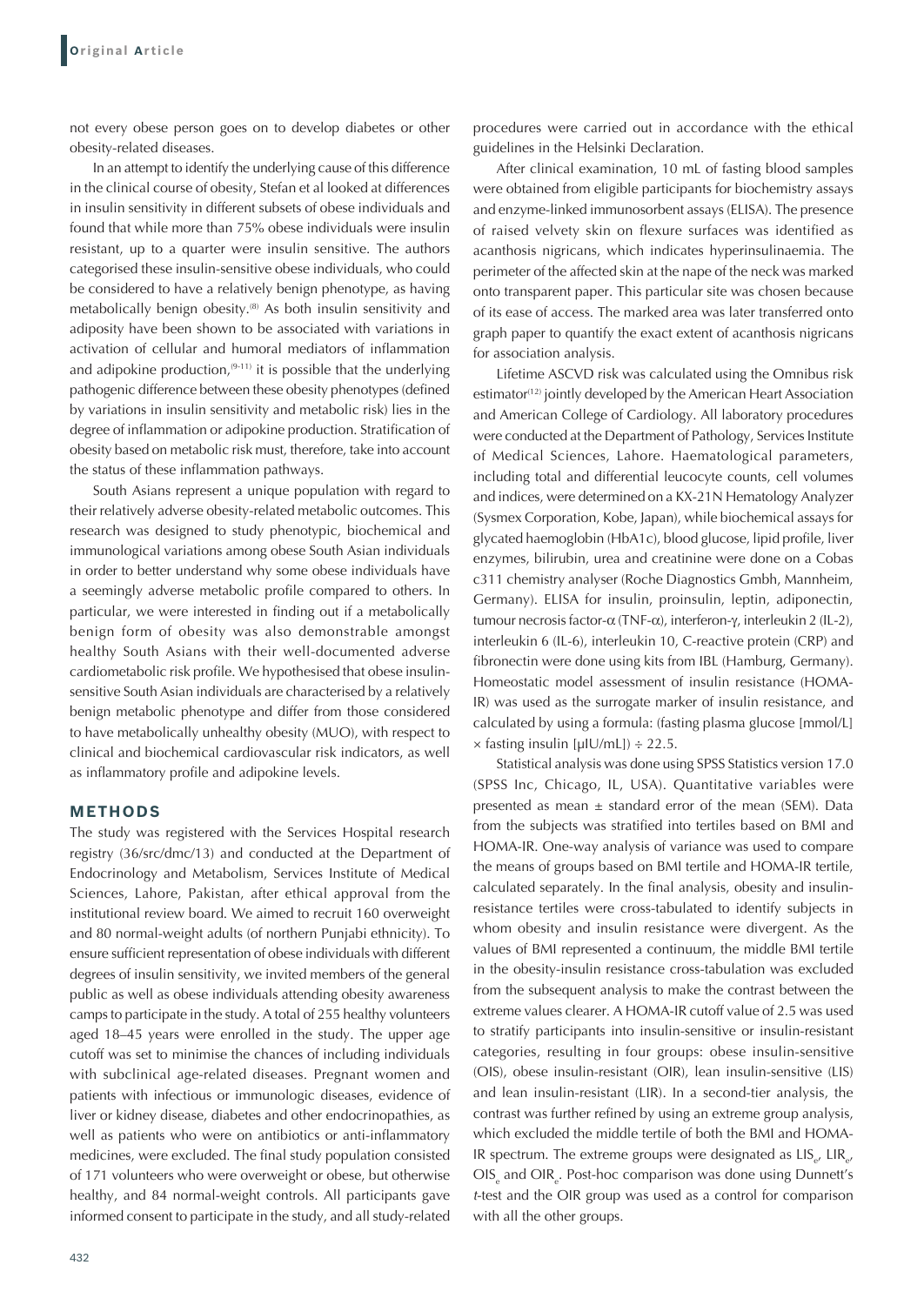not every obese person goes on to develop diabetes or other obesity-related diseases.

In an attempt to identify the underlying cause of this difference in the clinical course of obesity, Stefan et al looked at differences in insulin sensitivity in different subsets of obese individuals and found that while more than 75% obese individuals were insulin resistant, up to a quarter were insulin sensitive. The authors categorised these insulin-sensitive obese individuals, who could be considered to have a relatively benign phenotype, as having metabolically benign obesity.(8) As both insulin sensitivity and adiposity have been shown to be associated with variations in activation of cellular and humoral mediators of inflammation and adipokine production,  $(9-11)$  it is possible that the underlying pathogenic difference between these obesity phenotypes (defined by variations in insulin sensitivity and metabolic risk) lies in the degree of inflammation or adipokine production. Stratification of obesity based on metabolic risk must, therefore, take into account the status of these inflammation pathways.

South Asians represent a unique population with regard to their relatively adverse obesity-related metabolic outcomes. This research was designed to study phenotypic, biochemical and immunological variations among obese South Asian individuals in order to better understand why some obese individuals have a seemingly adverse metabolic profile compared to others. In particular, we were interested in finding out if a metabolically benign form of obesity was also demonstrable amongst healthy South Asians with their well-documented adverse cardiometabolic risk profile. We hypothesised that obese insulinsensitive South Asian individuals are characterised by a relatively benign metabolic phenotype and differ from those considered to have metabolically unhealthy obesity (MUO), with respect to clinical and biochemical cardiovascular risk indicators, as well as inflammatory profile and adipokine levels.

#### **METHODS**

The study was registered with the Services Hospital research registry (36/src/dmc/13) and conducted at the Department of Endocrinology and Metabolism, Services Institute of Medical Sciences, Lahore, Pakistan, after ethical approval from the institutional review board. We aimed to recruit 160 overweight and 80 normal-weight adults (of northern Punjabi ethnicity). To ensure sufficient representation of obese individuals with different degrees of insulin sensitivity, we invited members of the general public as well as obese individuals attending obesity awareness camps to participate in the study. A total of 255 healthy volunteers aged 18–45 years were enrolled in the study. The upper age cutoff was set to minimise the chances of including individuals with subclinical age-related diseases. Pregnant women and patients with infectious or immunologic diseases, evidence of liver or kidney disease, diabetes and other endocrinopathies, as well as patients who were on antibiotics or anti-inflammatory medicines, were excluded. The final study population consisted of 171 volunteers who were overweight or obese, but otherwise healthy, and 84 normal-weight controls. All participants gave informed consent to participate in the study, and all study-related procedures were carried out in accordance with the ethical guidelines in the Helsinki Declaration.

After clinical examination, 10 mL of fasting blood samples were obtained from eligible participants for biochemistry assays and enzyme-linked immunosorbent assays (ELISA). The presence of raised velvety skin on flexure surfaces was identified as acanthosis nigricans, which indicates hyperinsulinaemia. The perimeter of the affected skin at the nape of the neck was marked onto transparent paper. This particular site was chosen because of its ease of access. The marked area was later transferred onto graph paper to quantify the exact extent of acanthosis nigricans for association analysis.

Lifetime ASCVD risk was calculated using the Omnibus risk estimator<sup>(12)</sup> jointly developed by the American Heart Association and American College of Cardiology. All laboratory procedures were conducted at the Department of Pathology, Services Institute of Medical Sciences, Lahore. Haematological parameters, including total and differential leucocyte counts, cell volumes and indices, were determined on a KX-21N Hematology Analyzer (Sysmex Corporation, Kobe, Japan), while biochemical assays for glycated haemoglobin (HbA1c), blood glucose, lipid profile, liver enzymes, bilirubin, urea and creatinine were done on a Cobas c311 chemistry analyser (Roche Diagnostics Gmbh, Mannheim, Germany). ELISA for insulin, proinsulin, leptin, adiponectin, tumour necrosis factor-α (TNF-α), interferon-γ, interleukin 2 (IL-2), interleukin 6 (IL-6), interleukin 10, C-reactive protein (CRP) and fibronectin were done using kits from IBL (Hamburg, Germany). Homeostatic model assessment of insulin resistance (HOMA-IR) was used as the surrogate marker of insulin resistance, and calculated by using a formula: (fasting plasma glucose [mmol/L]  $\times$  fasting insulin [µIU/mL])  $\div$  22.5.

Statistical analysis was done using SPSS Statistics version 17.0 (SPSS Inc, Chicago, IL, USA). Quantitative variables were presented as mean  $\pm$  standard error of the mean (SEM). Data from the subjects was stratified into tertiles based on BMI and HOMA-IR. One-way analysis of variance was used to compare the means of groups based on BMI tertile and HOMA-IR tertile, calculated separately. In the final analysis, obesity and insulinresistance tertiles were cross-tabulated to identify subjects in whom obesity and insulin resistance were divergent. As the values of BMI represented a continuum, the middle BMI tertile in the obesity-insulin resistance cross-tabulation was excluded from the subsequent analysis to make the contrast between the extreme values clearer. A HOMA-IR cutoff value of 2.5 was used to stratify participants into insulin-sensitive or insulin-resistant categories, resulting in four groups: obese insulin-sensitive (OIS), obese insulin-resistant (OIR), lean insulin-sensitive (LIS) and lean insulin-resistant (LIR). In a second-tier analysis, the contrast was further refined by using an extreme group analysis, which excluded the middle tertile of both the BMI and HOMA-IR spectrum. The extreme groups were designated as  $LIS_{e}$ ,  $LIR_{e}$ , OIS<sub>e</sub> and OIR<sub>e</sub>. Post-hoc comparison was done using Dunnett's <sup>t</sup>-test and the OIR group was used as a control for comparison with all the other groups.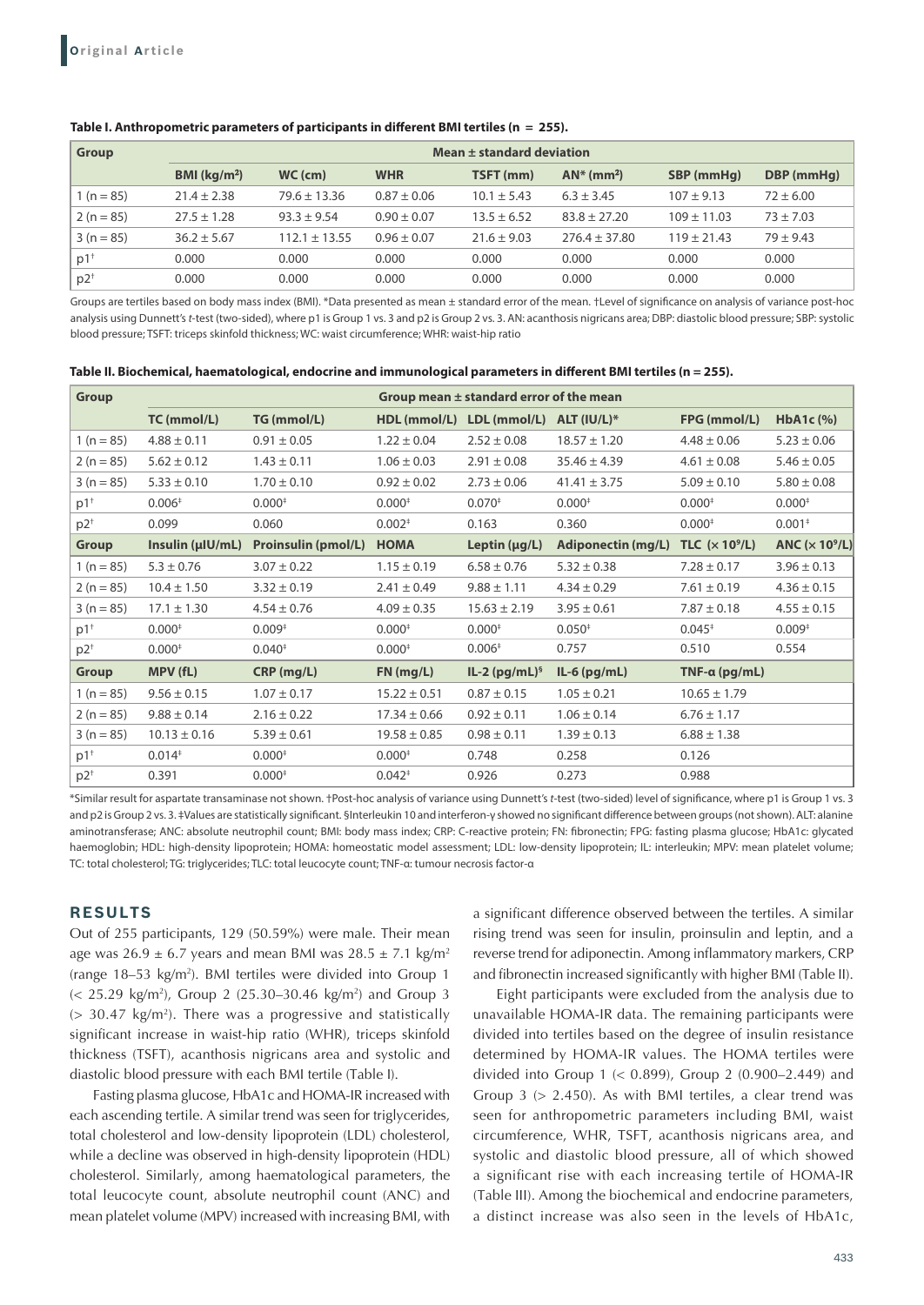### **Table I. Anthropometric parameters of participants in different BMI tertiles (n = 255).**

| <b>Group</b>      | Mean ± standard deviation |                   |                 |                 |                           |                 |               |
|-------------------|---------------------------|-------------------|-----------------|-----------------|---------------------------|-----------------|---------------|
|                   | BMI (kg/m <sup>2</sup> )  | $WC$ (cm)         | <b>WHR</b>      | TSFT (mm)       | $AN^*$ (mm <sup>2</sup> ) | SBP (mmHq)      | DBP (mmHg)    |
| $1(n = 85)$       | $21.4 \pm 2.38$           | $79.6 \pm 13.36$  | $0.87 \pm 0.06$ | $10.1 \pm 5.43$ | $6.3 \pm 3.45$            | $107 \pm 9.13$  | $72 \pm 6.00$ |
| $2(n = 85)$       | $27.5 \pm 1.28$           | $93.3 \pm 9.54$   | $0.90 \pm 0.07$ | $13.5 \pm 6.52$ | $83.8 \pm 27.20$          | $109 + 11.03$   | $73 \pm 7.03$ |
| $3(n = 85)$       | $36.2 \pm 5.67$           | $112.1 \pm 13.55$ | $0.96 \pm 0.07$ | $21.6 \pm 9.03$ | $276.4 \pm 37.80$         | $119 \pm 21.43$ | $79 \pm 9.43$ |
| $p1$ <sup>+</sup> | 0.000                     | 0.000             | 0.000           | 0.000           | 0.000                     | 0.000           | 0.000         |
| p2                | 0.000                     | 0.000             | 0.000           | 0.000           | 0.000                     | 0.000           | 0.000         |

Groups are tertiles based on body mass index (BMI). \*Data presented as mean ± standard error of the mean. †Level of significance on analysis of variance post-hoc analysis using Dunnett's *t*-test (two-sided), where p1 is Group 1 vs. 3 and p2 is Group 2 vs. 3. AN: acanthosis nigricans area; DBP: diastolic blood pressure; SBP: systolic blood pressure; TSFT: triceps skinfold thickness; WC: waist circumference; WHR: waist-hip ratio

| <b>Group</b>      |                  |                            | Group mean $\pm$ standard error of the mean |                                       |                                     |                       |                                    |
|-------------------|------------------|----------------------------|---------------------------------------------|---------------------------------------|-------------------------------------|-----------------------|------------------------------------|
|                   | TC (mmol/L)      | TG (mmol/L)                |                                             | HDL (mmol/L) LDL (mmol/L) ALT (IU/L)* |                                     | FPG (mmol/L)          | HbA1c $(% )$                       |
| 1 ( $n = 85$ )    | $4.88 \pm 0.11$  | $0.91 \pm 0.05$            | $1.22 \pm 0.04$                             | $2.52 \pm 0.08$                       | $18.57 \pm 1.20$                    | $4.48 \pm 0.06$       | $5.23 \pm 0.06$                    |
| $2(n = 85)$       | $5.62 \pm 0.12$  | $1.43 \pm 0.11$            | $1.06 \pm 0.03$                             | $2.91 \pm 0.08$                       | $35.46 \pm 4.39$                    | $4.61 \pm 0.08$       | $5.46 \pm 0.05$                    |
| $3(n = 85)$       | $5.33 \pm 0.10$  | $1.70 \pm 0.10$            | $0.92 \pm 0.02$                             | $2.73 \pm 0.06$                       | $41.41 \pm 3.75$                    | $5.09 \pm 0.10$       | $5.80 \pm 0.08$                    |
| $p1$ <sup>+</sup> | $0.006*$         | $0.000*$                   | $0.000*$                                    | $0.070*$                              | $0.000*$                            | $0.000*$              | $0.000*$                           |
| $p2^+$            | 0.099            | 0.060                      | $0.002*$                                    | 0.163                                 | 0.360                               | $0.000*$              | $0.001*$                           |
| <b>Group</b>      | Insulin (µIU/mL) | <b>Proinsulin (pmol/L)</b> | <b>HOMA</b>                                 | Leptin $(\mu g/L)$                    | Adiponectin (mg/L) TLC $(x 10^9/L)$ |                       | ANC ( $\times$ 10 <sup>9</sup> /L) |
| $1(n = 85)$       | $5.3 \pm 0.76$   | $3.07 \pm 0.22$            | $1.15 \pm 0.19$                             | $6.58 \pm 0.76$                       | $5.32 \pm 0.38$                     | $7.28 \pm 0.17$       | $3.96 \pm 0.13$                    |
| $2(n = 85)$       | $10.4 \pm 1.50$  | $3.32 \pm 0.19$            | $2.41 \pm 0.49$                             | $9.88 \pm 1.11$                       | $4.34 \pm 0.29$                     | $7.61 \pm 0.19$       | $4.36 \pm 0.15$                    |
| $3(n = 85)$       | $17.1 \pm 1.30$  | $4.54 \pm 0.76$            | $4.09 \pm 0.35$                             | $15.63 \pm 2.19$                      | $3.95 \pm 0.61$                     | $7.87 \pm 0.18$       | $4.55 \pm 0.15$                    |
| $p1$ <sup>+</sup> | $0.000*$         | $0.009*$                   | $0.000*$                                    | $0.000*$                              | $0.050*$                            | $0.045*$              | $0.009*$                           |
| $p2^+$            | $0.000*$         | $0.040*$                   | $0.000*$                                    | $0.006*$                              | 0.757                               | 0.510                 | 0.554                              |
| Group             | MPV (fL)         | CRP (mg/L)                 | FN (mg/L)                                   | $IL-2 (pg/mL)§$                       | $IL-6$ (pg/mL)                      | TNF- $\alpha$ (pg/mL) |                                    |
| $1(n = 85)$       | $9.56 \pm 0.15$  | $1.07 \pm 0.17$            | $15.22 \pm 0.51$                            | $0.87 \pm 0.15$                       | $1.05 \pm 0.21$                     | $10.65 \pm 1.79$      |                                    |
| $2(n = 85)$       | $9.88 \pm 0.14$  | $2.16 \pm 0.22$            | $17.34 \pm 0.66$                            | $0.92 \pm 0.11$                       | $1.06 \pm 0.14$                     | $6.76 \pm 1.17$       |                                    |
| $3(n = 85)$       | $10.13 \pm 0.16$ | $5.39 \pm 0.61$            | $19.58 \pm 0.85$                            | $0.98 \pm 0.11$                       | $1.39 \pm 0.13$                     | $6.88 \pm 1.38$       |                                    |
| $p1$ <sup>+</sup> | $0.014*$         | $0.000*$                   | $0.000*$                                    | 0.748                                 | 0.258                               | 0.126                 |                                    |
| $p2^+$            | 0.391            | $0.000*$                   | $0.042*$                                    | 0.926                                 | 0.273                               | 0.988                 |                                    |

\*Similar result for aspartate transaminase not shown. †Post-hoc analysis of variance using Dunnett's *t*-test (two-sided) level of significance, where p1 is Group 1 vs. 3 and p2 is Group 2 vs. 3. ‡Values are statistically significant. §Interleukin 10 and interferon-γ showed no significant difference between groups (not shown). ALT: alanine aminotransferase; ANC: absolute neutrophil count; BMI: body mass index; CRP: C-reactive protein; FN: fibronectin; FPG: fasting plasma glucose; HbA1c: glycated haemoglobin; HDL: high-density lipoprotein; HOMA: homeostatic model assessment; LDL: low-density lipoprotein; IL: interleukin; MPV: mean platelet volume; TC: total cholesterol; TG: triglycerides; TLC: total leucocyte count; TNF-α: tumour necrosis factor-α

# **RESULTS**

Out of 255 participants, 129 (50.59%) were male. Their mean age was  $26.9 \pm 6.7$  years and mean BMI was  $28.5 \pm 7.1$  kg/m<sup>2</sup> (range 18–53 kg/m2 ). BMI tertiles were divided into Group 1 (< 25.29 kg/m2 ), Group 2 (25.30–30.46 kg/m2 ) and Group 3  $(> 30.47 \text{ kg/m}^2)$ . There was a progressive and statistically significant increase in waist-hip ratio (WHR), triceps skinfold thickness (TSFT), acanthosis nigricans area and systolic and diastolic blood pressure with each BMI tertile (Table I).

Fasting plasma glucose, HbA1c and HOMA-IR increased with each ascending tertile. A similar trend was seen for triglycerides, total cholesterol and low-density lipoprotein (LDL) cholesterol, while a decline was observed in high-density lipoprotein (HDL) cholesterol. Similarly, among haematological parameters, the total leucocyte count, absolute neutrophil count (ANC) and mean platelet volume (MPV) increased with increasing BMI, with a significant difference observed between the tertiles. A similar rising trend was seen for insulin, proinsulin and leptin, and a reverse trend for adiponectin. Among inflammatory markers, CRP and fibronectin increased significantly with higher BMI (Table II).

Eight participants were excluded from the analysis due to unavailable HOMA-IR data. The remaining participants were divided into tertiles based on the degree of insulin resistance determined by HOMA-IR values. The HOMA tertiles were divided into Group 1 (< 0.899), Group 2 (0.900–2.449) and Group  $3$  ( $> 2.450$ ). As with BMI tertiles, a clear trend was seen for anthropometric parameters including BMI, waist circumference, WHR, TSFT, acanthosis nigricans area, and systolic and diastolic blood pressure, all of which showed a significant rise with each increasing tertile of HOMA-IR (Table III). Among the biochemical and endocrine parameters, a distinct increase was also seen in the levels of HbA1c,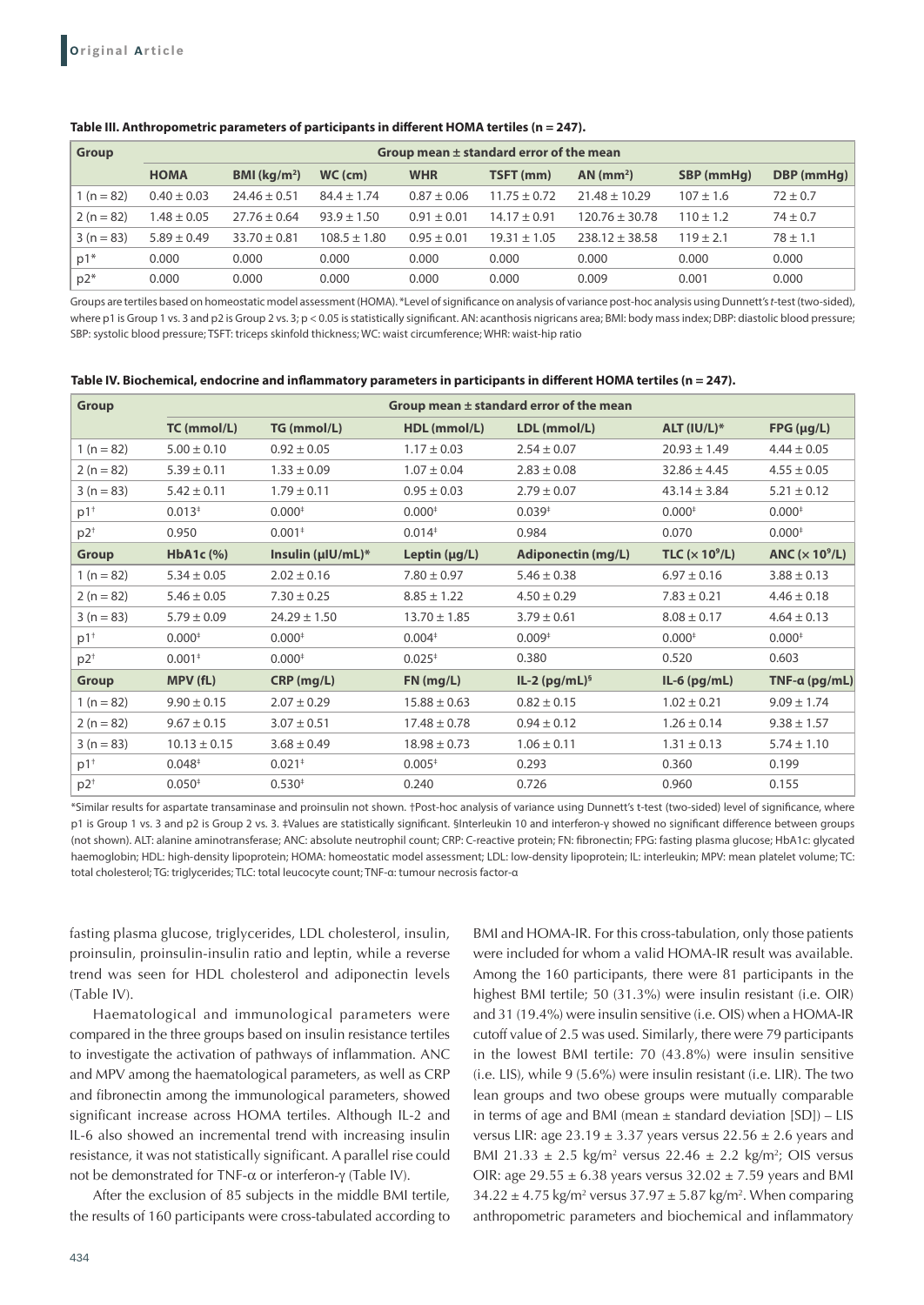### **Table III. Anthropometric parameters of participants in different HOMA tertiles (n = 247).**

| <b>Group</b> | Group mean $\pm$ standard error of the mean |                          |                  |                 |                  |                         |               |              |
|--------------|---------------------------------------------|--------------------------|------------------|-----------------|------------------|-------------------------|---------------|--------------|
|              | <b>HOMA</b>                                 | BMI (kg/m <sup>2</sup> ) | $WC$ (cm)        | <b>WHR</b>      | TSFT (mm)        | $AN$ (mm <sup>2</sup> ) | SBP (mmHq)    | DBP (mmHg)   |
| $1(n = 82)$  | $0.40 \pm 0.03$                             | $24.46 \pm 0.51$         | $84.4 \pm 1.74$  | $0.87 \pm 0.06$ | $11.75 + 0.72$   | $21.48 \pm 10.29$       | $107 \pm 1.6$ | $72 \pm 0.7$ |
| $2(n = 82)$  | $.48 \pm 0.05$                              | $27.76 \pm 0.64$         | $93.9 \pm 1.50$  | $0.91 \pm 0.01$ | $14.17 \pm 0.91$ | $120.76 \pm 30.78$      | $110 \pm 1.2$ | $74 \pm 0.7$ |
| $3(n = 83)$  | $5.89 \pm 0.49$                             | $33.70 \pm 0.81$         | $108.5 \pm 1.80$ | $0.95 \pm 0.01$ | $19.31 + 1.05$   | $238.12 \pm 38.58$      | $119 \pm 2.1$ | $78 \pm 1.1$ |
| $p1*$        | 0.000                                       | 0.000                    | 0.000            | 0.000           | 0.000            | 0.000                   | 0.000         | 0.000        |
| $p2*$        | 0.000                                       | 0.000                    | 0.000            | 0.000           | 0.000            | 0.009                   | 0.001         | 0.000        |

Groups are tertiles based on homeostatic model assessment (HOMA). \*Level of significance on analysis of variance post-hoc analysis using Dunnett's *t*-test (two-sided), where p1 is Group 1 vs. 3 and p2 is Group 2 vs. 3; p < 0.05 is statistically significant. AN: acanthosis nigricans area; BMI: body mass index; DBP: diastolic blood pressure; SBP: systolic blood pressure; TSFT: triceps skinfold thickness; WC: waist circumference; WHR: waist-hip ratio

#### **Table IV. Biochemical, endocrine and inflammatory parameters in participants in different HOMA tertiles (n = 247).**

| <b>Group</b>      | Group mean $\pm$ standard error of the mean |                         |                    |                    |                                    |                                    |  |  |
|-------------------|---------------------------------------------|-------------------------|--------------------|--------------------|------------------------------------|------------------------------------|--|--|
|                   | TC (mmol/L)                                 | TG (mmol/L)             | HDL (mmol/L)       | LDL (mmol/L)       | $ALT (IU/L)*$                      | $FPG$ ( $\mu$ g/L)                 |  |  |
| $1(n=82)$         | $5.00 \pm 0.10$                             | $0.92 \pm 0.05$         | $1.17 \pm 0.03$    | $2.54 \pm 0.07$    | $20.93 \pm 1.49$                   | $4.44 \pm 0.05$                    |  |  |
| $2(n=82)$         | $5.39 \pm 0.11$                             | $1.33 \pm 0.09$         | $1.07 \pm 0.04$    | $2.83 \pm 0.08$    | $32.86 \pm 4.45$                   | $4.55 \pm 0.05$                    |  |  |
| $3(n = 83)$       | $5.42 \pm 0.11$                             | $1.79 \pm 0.11$         | $0.95 \pm 0.03$    | $2.79 \pm 0.07$    | $43.14 \pm 3.84$                   | $5.21 \pm 0.12$                    |  |  |
| $p1$ <sup>+</sup> | $0.013*$                                    | $0.000*$                | $0.000*$           | $0.039*$           | $0.000*$                           | $0.000*$                           |  |  |
| $p2^+$            | 0.950                                       | 0.001 <sup>‡</sup>      | $0.014*$           | 0.984              | 0.070                              | $0.000*$                           |  |  |
| <b>Group</b>      | HbA1c $(\%)$                                | Insulin ( $\mu$ IU/mL)* | Leptin $(\mu g/L)$ | Adiponectin (mg/L) | TLC ( $\times$ 10 <sup>9</sup> /L) | ANC ( $\times$ 10 <sup>9</sup> /L) |  |  |
| $1(n=82)$         | $5.34 \pm 0.05$                             | $2.02 \pm 0.16$         | $7.80 \pm 0.97$    | $5.46 \pm 0.38$    | $6.97 \pm 0.16$                    | $3.88 \pm 0.13$                    |  |  |
| $2(n=82)$         | $5.46 \pm 0.05$                             | $7.30 \pm 0.25$         | $8.85 \pm 1.22$    | $4.50 \pm 0.29$    | $7.83 \pm 0.21$                    | $4.46 \pm 0.18$                    |  |  |
| $3(n=83)$         | $5.79 \pm 0.09$                             | $24.29 \pm 1.50$        | $13.70 \pm 1.85$   | $3.79 \pm 0.61$    | $8.08 \pm 0.17$                    | $4.64 \pm 0.13$                    |  |  |
| $p1$ <sup>+</sup> | $0.000*$                                    | $0.000*$                | $0.004*$           | $0.009*$           | $0.000*$                           | $0.000*$                           |  |  |
| $p2^+$            | $0.001*$                                    | $0.000*$                | $0.025*$           | 0.380              | 0.520                              | 0.603                              |  |  |
| <b>Group</b>      | MPV (fL)                                    | $CRP$ (mg/L)            | FN (mg/L)          | $IL-2 (pg/mL)§$    | $IL-6$ (pg/mL)                     | TNF- $\alpha$ (pg/mL)              |  |  |
| $1(n=82)$         | $9.90 \pm 0.15$                             | $2.07 \pm 0.29$         | $15.88 \pm 0.63$   | $0.82 \pm 0.15$    | $1.02 \pm 0.21$                    | $9.09 \pm 1.74$                    |  |  |
| $2(n=82)$         | $9.67 \pm 0.15$                             | $3.07 \pm 0.51$         | $17.48 \pm 0.78$   | $0.94 \pm 0.12$    | $1.26 \pm 0.14$                    | $9.38 \pm 1.57$                    |  |  |
| $3(n = 83)$       | $10.13 \pm 0.15$                            | $3.68 \pm 0.49$         | $18.98 \pm 0.73$   | $1.06 \pm 0.11$    | $1.31 \pm 0.13$                    | $5.74 \pm 1.10$                    |  |  |
| $p1$ <sup>+</sup> | $0.048*$                                    | $0.021$ <sup>+</sup>    | $0.005*$           | 0.293              | 0.360                              | 0.199                              |  |  |
| $p2^+$            | $0.050*$                                    | $0.530*$                | 0.240              | 0.726              | 0.960                              | 0.155                              |  |  |

\*Similar results for aspartate transaminase and proinsulin not shown. †Post-hoc analysis of variance using Dunnett's t-test (two-sided) level of significance, where p1 is Group 1 vs. 3 and p2 is Group 2 vs. 3. ‡Values are statistically significant. §Interleukin 10 and interferon-γ showed no significant difference between groups (not shown). ALT: alanine aminotransferase; ANC: absolute neutrophil count; CRP: C-reactive protein; FN: fibronectin; FPG: fasting plasma glucose; HbA1c: glycated haemoglobin; HDL: high-density lipoprotein; HOMA: homeostatic model assessment; LDL: low-density lipoprotein; IL: interleukin; MPV: mean platelet volume; TC: total cholesterol; TG: triglycerides; TLC: total leucocyte count; TNF-α: tumour necrosis factor-α

fasting plasma glucose, triglycerides, LDL cholesterol, insulin, proinsulin, proinsulin-insulin ratio and leptin, while a reverse trend was seen for HDL cholesterol and adiponectin levels (Table IV).

Haematological and immunological parameters were compared in the three groups based on insulin resistance tertiles to investigate the activation of pathways of inflammation. ANC and MPV among the haematological parameters, as well as CRP and fibronectin among the immunological parameters, showed significant increase across HOMA tertiles. Although IL-2 and IL-6 also showed an incremental trend with increasing insulin resistance, it was not statistically significant. A parallel rise could not be demonstrated for TNF-α or interferon-γ (Table IV).

After the exclusion of 85 subjects in the middle BMI tertile, the results of 160 participants were cross-tabulated according to BMI and HOMA-IR. For this cross-tabulation, only those patients were included for whom a valid HOMA-IR result was available. Among the 160 participants, there were 81 participants in the highest BMI tertile; 50 (31.3%) were insulin resistant (i.e. OIR) and 31 (19.4%) were insulin sensitive (i.e. OIS) when a HOMA-IR cutoff value of 2.5 was used. Similarly, there were 79 participants in the lowest BMI tertile: 70 (43.8%) were insulin sensitive (i.e. LIS), while 9 (5.6%) were insulin resistant (i.e. LIR). The two lean groups and two obese groups were mutually comparable in terms of age and BMI (mean  $\pm$  standard deviation [SD]) – LIS versus LIR: age  $23.19 \pm 3.37$  years versus  $22.56 \pm 2.6$  years and BMI 21.33  $\pm$  2.5 kg/m<sup>2</sup> versus 22.46  $\pm$  2.2 kg/m<sup>2</sup>; OIS versus OIR: age  $29.55 \pm 6.38$  years versus  $32.02 \pm 7.59$  years and BMI  $34.22 \pm 4.75$  kg/m<sup>2</sup> versus  $37.97 \pm 5.87$  kg/m<sup>2</sup>. When comparing anthropometric parameters and biochemical and inflammatory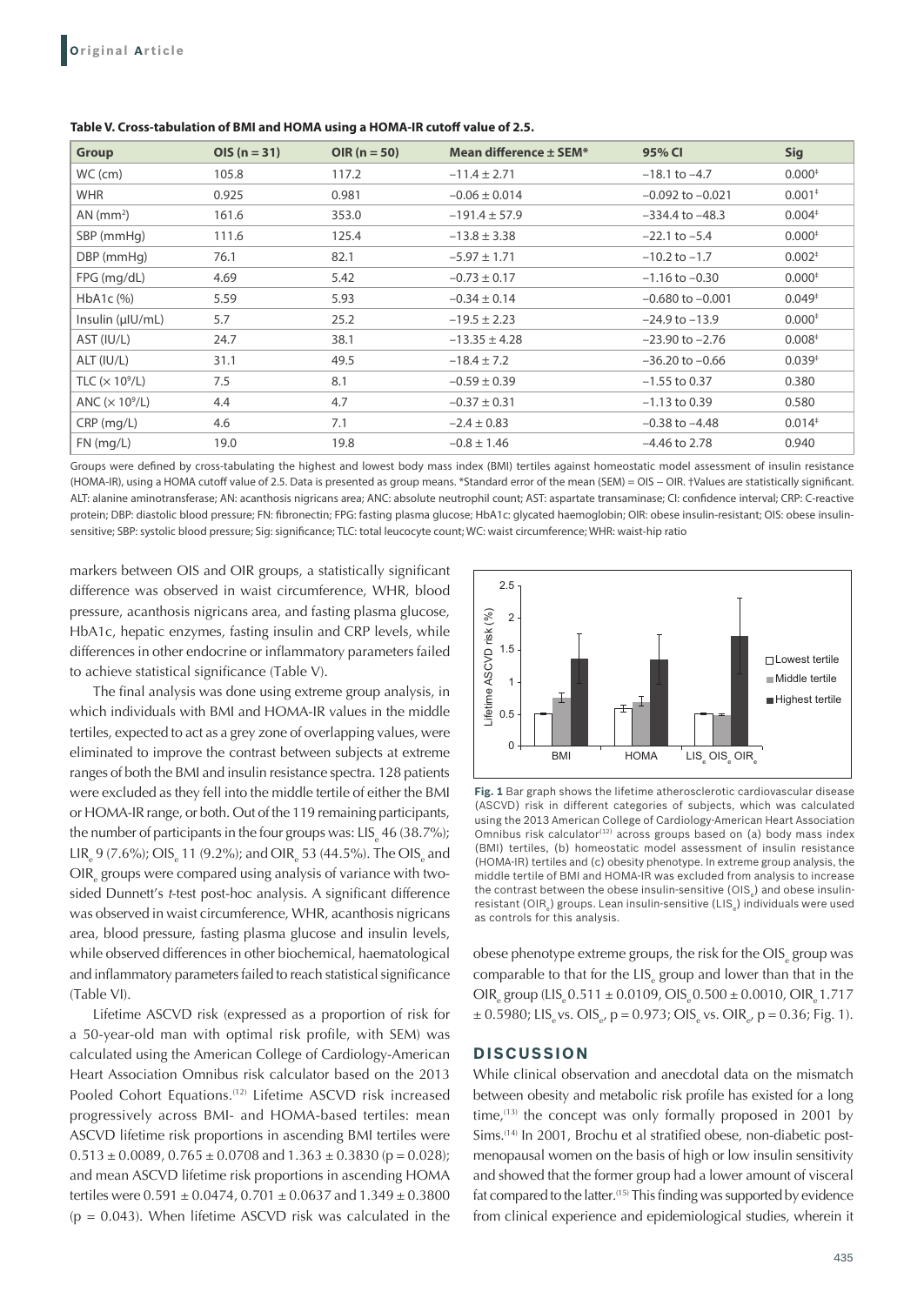| Group            | $OIS (n = 31)$ | OIR $(n = 50)$ | Mean difference ± SEM* | 95% CI               | <b>Sig</b> |
|------------------|----------------|----------------|------------------------|----------------------|------------|
| $WC$ (cm)        | 105.8          | 117.2          | $-11.4 \pm 2.71$       | $-18.1$ to $-4.7$    | $0.000*$   |
| <b>WHR</b>       | 0.925          | 0.981          | $-0.06 \pm 0.014$      | $-0.092$ to $-0.021$ | $0.001*$   |
| AN $(mm2)$       | 161.6          | 353.0          | $-191.4 \pm 57.9$      | $-334.4$ to $-48.3$  | $0.004*$   |
| SBP (mmHg)       | 111.6          | 125.4          | $-13.8 \pm 3.38$       | $-22.1$ to $-5.4$    | $0.000*$   |
| DBP (mmHg)       | 76.1           | 82.1           | $-5.97 \pm 1.71$       | $-10.2$ to $-1.7$    | $0.002*$   |
| $FPG$ (mg/dL)    | 4.69           | 5.42           | $-0.73 \pm 0.17$       | $-1.16$ to $-0.30$   | $0.000*$   |
| HbA1c (%)        | 5.59           | 5.93           | $-0.34 \pm 0.14$       | $-0.680$ to $-0.001$ | $0.049*$   |
| Insulin (µIU/mL) | 5.7            | 25.2           | $-19.5 \pm 2.23$       | $-24.9$ to $-13.9$   | $0.000*$   |
| AST (IU/L)       | 24.7           | 38.1           | $-13.35 \pm 4.28$      | $-23.90$ to $-2.76$  | $0.008*$   |
| ALT (IU/L)       | 31.1           | 49.5           | $-18.4 \pm 7.2$        | $-36.20$ to $-0.66$  | $0.039*$   |
| TLC $(x 10^9/L)$ | 7.5            | 8.1            | $-0.59 \pm 0.39$       | $-1.55$ to 0.37      | 0.380      |
| ANC $(x 109/L)$  | 4.4            | 4.7            | $-0.37 \pm 0.31$       | $-1.13$ to 0.39      | 0.580      |
| $CRP$ (mg/L)     | 4.6            | 7.1            | $-2.4 \pm 0.83$        | $-0.38$ to $-4.48$   | $0.014*$   |
| $FN$ (mg/L)      | 19.0           | 19.8           | $-0.8 \pm 1.46$        | $-4.46$ to 2.78      | 0.940      |

**Table V. Cross-tabulation of BMI and HOMA using a HOMA-IR cutoff value of 2.5.**

Groups were defined by cross-tabulating the highest and lowest body mass index (BMI) tertiles against homeostatic model assessment of insulin resistance (HOMA-IR), using a HOMA cutoff value of 2.5. Data is presented as group means. \*Standard error of the mean (SEM) = OIS − OIR. †Values are statistically significant. ALT: alanine aminotransferase; AN: acanthosis nigricans area; ANC: absolute neutrophil count; AST: aspartate transaminase; CI: confidence interval; CRP: C-reactive protein; DBP: diastolic blood pressure; FN: fibronectin; FPG: fasting plasma glucose; HbA1c: glycated haemoglobin; OIR: obese insulin-resistant; OIS: obese insulinsensitive; SBP: systolic blood pressure; Sig: significance; TLC: total leucocyte count; WC: waist circumference; WHR: waist-hip ratio

markers between OIS and OIR groups, a statistically significant difference was observed in waist circumference, WHR, blood pressure, acanthosis nigricans area, and fasting plasma glucose, HbA1c, hepatic enzymes, fasting insulin and CRP levels, while differences in other endocrine or inflammatory parameters failed to achieve statistical significance (Table V).

The final analysis was done using extreme group analysis, in which individuals with BMI and HOMA-IR values in the middle tertiles, expected to act as a grey zone of overlapping values, were eliminated to improve the contrast between subjects at extreme ranges of both the BMI and insulin resistance spectra. 128 patients were excluded as they fell into the middle tertile of either the BMI or HOMA-IR range, or both. Out of the 119 remaining participants, the number of participants in the four groups was:  $\text{LIS}_{\text{e}}$  46 (38.7%);  $LIR_{e}$  9 (7.6%); OIS<sub>e</sub> 11 (9.2%); and OIR<sub>e</sub> 53 (44.5%). The OIS<sub>e</sub> and  $\text{OIR}_{\text{e}}$  groups were compared using analysis of variance with twosided Dunnett's t-test post-hoc analysis. A significant difference was observed in waist circumference, WHR, acanthosis nigricans area, blood pressure, fasting plasma glucose and insulin levels, while observed differences in other biochemical, haematological and inflammatory parameters failed to reach statistical significance (Table VI).

Lifetime ASCVD risk (expressed as a proportion of risk for a 50-year-old man with optimal risk profile, with SEM) was calculated using the American College of Cardiology-American Heart Association Omnibus risk calculator based on the 2013 Pooled Cohort Equations.<sup>(12)</sup> Lifetime ASCVD risk increased progressively across BMI- and HOMA-based tertiles: mean ASCVD lifetime risk proportions in ascending BMI tertiles were  $0.513 \pm 0.0089$ ,  $0.765 \pm 0.0708$  and  $1.363 \pm 0.3830$  (p = 0.028); and mean ASCVD lifetime risk proportions in ascending HOMA tertiles were  $0.591 \pm 0.0474$ ,  $0.701 \pm 0.0637$  and  $1.349 \pm 0.3800$  $(p = 0.043)$ . When lifetime ASCVD risk was calculated in the



**Fig. 1** Bar graph shows the lifetime atherosclerotic cardiovascular disease (ASCVD) risk in different categories of subjects, which was calculated using the 2013 American College of Cardiology-American Heart Association Omnibus risk calculator<sup>(12)</sup> across groups based on (a) body mass index (BMI) tertiles, (b) homeostatic model assessment of insulin resistance (HOMA-IR) tertiles and (c) obesity phenotype. In extreme group analysis, the middle tertile of BMI and HOMA-IR was excluded from analysis to increase the contrast between the obese insulin-sensitive (OIS $_{\tiny{\text{e}}}$ ) and obese insulinresistant (OIR<sub>e</sub>) groups. Lean insulin-sensitive (LIS<sub>e</sub>) individuals were used as controls for this analysis.

obese phenotype extreme groups, the risk for the OIS $_{\rm e}$  group was comparable to that for the  $LIS_{e}$  group and lower than that in the  $\text{OIR}_{\text{e}}$  group (LIS<sub>e</sub> 0.511  $\pm$  0.0109, OIS<sub>e</sub> 0.500  $\pm$  0.0010, OIR<sub>e</sub> 1.717  $\pm$  0.5980; LIS<sub>e</sub> vs. OIS<sub>e</sub>, p = 0.973; OIS<sub>e</sub> vs. OIR<sub>e</sub>, p = 0.36; Fig. 1).

### **DISCUSSION**

While clinical observation and anecdotal data on the mismatch between obesity and metabolic risk profile has existed for a long time, $(13)$  the concept was only formally proposed in 2001 by Sims.<sup>(14)</sup> In 2001, Brochu et al stratified obese, non-diabetic postmenopausal women on the basis of high or low insulin sensitivity and showed that the former group had a lower amount of visceral fat compared to the latter.<sup>(15)</sup> This finding was supported by evidence from clinical experience and epidemiological studies, wherein it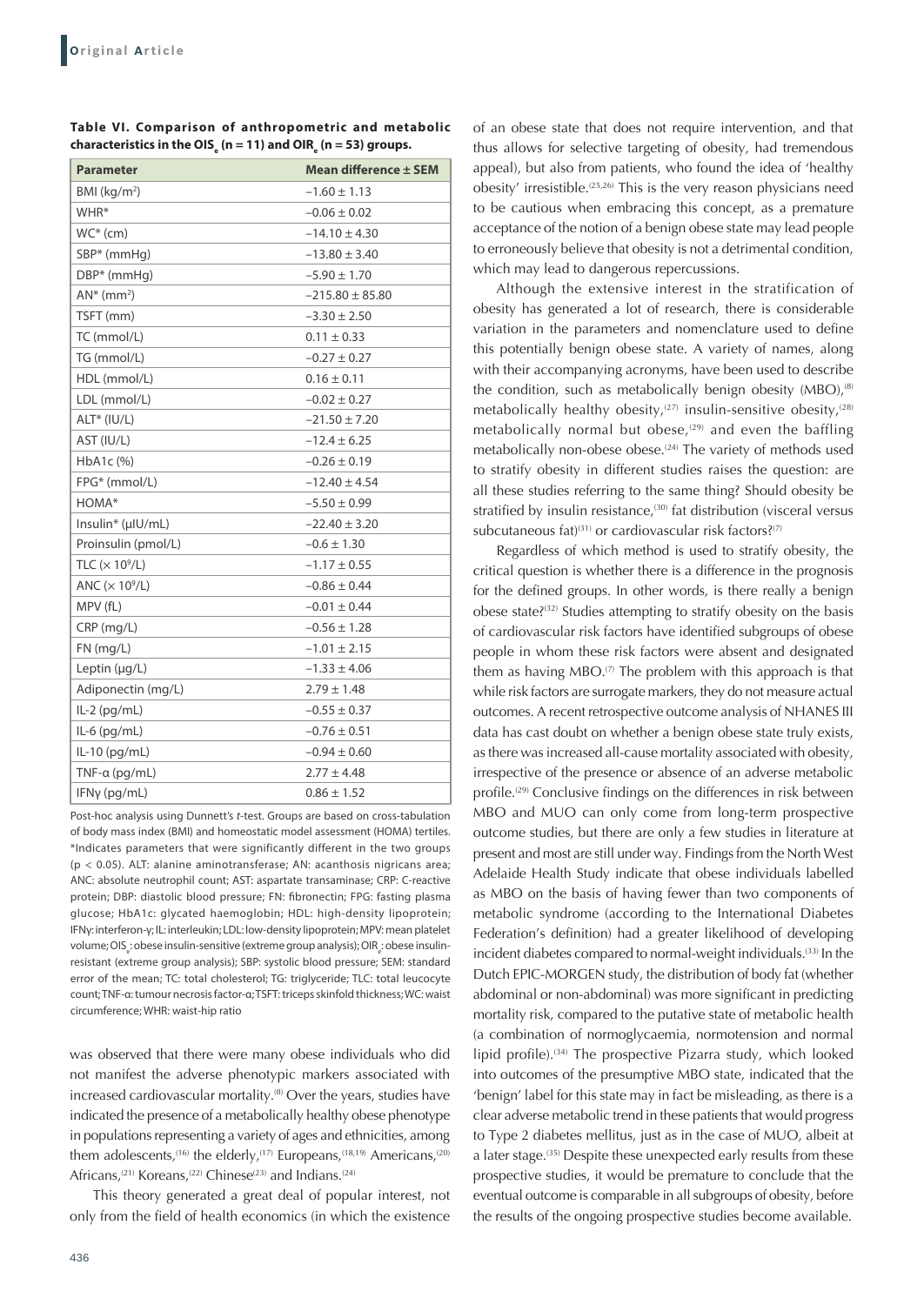| <b>Parameter</b>          | <b>Mean difference ± SEM</b> |  |  |  |
|---------------------------|------------------------------|--|--|--|
| BMI ( $kg/m2$ )           | $-1.60 \pm 1.13$             |  |  |  |
| WHR*                      | $-0.06 \pm 0.02$             |  |  |  |
| $WC^*(cm)$                | $-14.10 \pm 4.30$            |  |  |  |
| $SBP*$ (mmHq)             | $-13.80 \pm 3.40$            |  |  |  |
| DBP* (mmHg)               | $-5.90 \pm 1.70$             |  |  |  |
| $AN^*$ (mm <sup>2</sup> ) | $-215.80 \pm 85.80$          |  |  |  |
| TSFT (mm)                 | $-3.30 \pm 2.50$             |  |  |  |
| TC (mmol/L)               | $0.11 \pm 0.33$              |  |  |  |
| TG (mmol/L)               | $-0.27 \pm 0.27$             |  |  |  |
| HDL (mmol/L)              | $0.16 \pm 0.11$              |  |  |  |
| LDL (mmol/L)              | $-0.02 \pm 0.27$             |  |  |  |
| ALT* (IU/L)               | $-21.50 \pm 7.20$            |  |  |  |
| AST (IU/L)                | $-12.4 \pm 6.25$             |  |  |  |
| HbA1c (%)                 | $-0.26 \pm 0.19$             |  |  |  |
| FPG* (mmol/L)             | $-12.40 \pm 4.54$            |  |  |  |
| HOMA*                     | $-5.50 \pm 0.99$             |  |  |  |
| Insulin* (µIU/mL)         | $-22.40 \pm 3.20$            |  |  |  |
| Proinsulin (pmol/L)       | $-0.6 \pm 1.30$              |  |  |  |
| TLC $(\times 10^9/L)$     | $-1.17 \pm 0.55$             |  |  |  |
| ANC $(x 10^9/L)$          | $-0.86 \pm 0.44$             |  |  |  |
| MPV (fL)                  | $-0.01 \pm 0.44$             |  |  |  |
| $CRP$ (mg/L)              | $-0.56 \pm 1.28$             |  |  |  |
| $FN$ (mg/L)               | $-1.01 \pm 2.15$             |  |  |  |
| Leptin $(\mu q/L)$        | $-1.33 \pm 4.06$             |  |  |  |
| Adiponectin (mg/L)        | $2.79 \pm 1.48$              |  |  |  |
| IL-2 (pg/mL)              | $-0.55 \pm 0.37$             |  |  |  |
| $IL-6$ (pg/mL)            | $-0.76 \pm 0.51$             |  |  |  |
| $IL-10$ (pg/mL)           | $-0.94 \pm 0.60$             |  |  |  |
| $TNF-a$ (pg/mL)           | $2.77 \pm 4.48$              |  |  |  |
| IFNy (pg/mL)              | $0.86 \pm 1.52$              |  |  |  |

**Table VI. Comparison of anthropometric and metabolic**  characteristics in the OIS<sub>e</sub> (n = 11) and OIR<sub>e</sub> (n = 53) groups.

Post-hoc analysis using Dunnett's *t*-test. Groups are based on cross-tabulation of body mass index (BMI) and homeostatic model assessment (HOMA) tertiles. \*Indicates parameters that were significantly different in the two groups (p < 0.05). ALT: alanine aminotransferase; AN: acanthosis nigricans area; ANC: absolute neutrophil count; AST: aspartate transaminase; CRP: C-reactive protein; DBP: diastolic blood pressure; FN: fibronectin; FPG: fasting plasma glucose; HbA1c: glycated haemoglobin; HDL: high-density lipoprotein; IFNγ: interferon-γ; IL: interleukin; LDL: low-density lipoprotein; MPV: mean platelet volume; OIS ٍ : obese insulin-sensitive (extreme group analysis); OIR ॄ : obese insulinresistant (extreme group analysis); SBP: systolic blood pressure; SEM: standard error of the mean; TC: total cholesterol; TG: triglyceride; TLC: total leucocyte count; TNF-α: tumour necrosis factor-α; TSFT: triceps skinfold thickness; WC: waist circumference; WHR: waist-hip ratio

was observed that there were many obese individuals who did not manifest the adverse phenotypic markers associated with increased cardiovascular mortality.<sup>(8)</sup> Over the years, studies have indicated the presence of a metabolically healthy obese phenotype in populations representing a variety of ages and ethnicities, among them adolescents,<sup>(16)</sup> the elderly,<sup>(17)</sup> Europeans,<sup>(18,19)</sup> Americans,<sup>(20)</sup> Africans,<sup>(21)</sup> Koreans,<sup>(22)</sup> Chinese<sup>(23)</sup> and Indians.<sup>(24)</sup>

This theory generated a great deal of popular interest, not only from the field of health economics (in which the existence

of an obese state that does not require intervention, and that thus allows for selective targeting of obesity, had tremendous appeal), but also from patients, who found the idea of 'healthy obesity' irresistible.(25,26) This is the very reason physicians need to be cautious when embracing this concept, as a premature acceptance of the notion of a benign obese state may lead people to erroneously believe that obesity is not a detrimental condition, which may lead to dangerous repercussions.

Although the extensive interest in the stratification of obesity has generated a lot of research, there is considerable variation in the parameters and nomenclature used to define this potentially benign obese state. A variety of names, along with their accompanying acronyms, have been used to describe the condition, such as metabolically benign obesity  $(MBO)$ ,<sup> $(8)$ </sup> metabolically healthy obesity,<sup> $(27)$ </sup> insulin-sensitive obesity,<sup> $(28)$ </sup> metabolically normal but obese, $(29)$  and even the baffling metabolically non-obese obese.<sup>(24)</sup> The variety of methods used to stratify obesity in different studies raises the question: are all these studies referring to the same thing? Should obesity be stratified by insulin resistance,<sup>(30)</sup> fat distribution (visceral versus subcutaneous fat)<sup>(31)</sup> or cardiovascular risk factors?<sup>(7)</sup>

Regardless of which method is used to stratify obesity, the critical question is whether there is a difference in the prognosis for the defined groups. In other words, is there really a benign obese state?(32) Studies attempting to stratify obesity on the basis of cardiovascular risk factors have identified subgroups of obese people in whom these risk factors were absent and designated them as having  $MBO$ .<sup> $(7)$ </sup> The problem with this approach is that while risk factors are surrogate markers, they do not measure actual outcomes. A recent retrospective outcome analysis of NHANES III data has cast doubt on whether a benign obese state truly exists, as there was increased all-cause mortality associated with obesity, irrespective of the presence or absence of an adverse metabolic profile.<sup>(29)</sup> Conclusive findings on the differences in risk between MBO and MUO can only come from long-term prospective outcome studies, but there are only a few studies in literature at present and most are still under way. Findings from the North West Adelaide Health Study indicate that obese individuals labelled as MBO on the basis of having fewer than two components of metabolic syndrome (according to the International Diabetes Federation's definition) had a greater likelihood of developing incident diabetes compared to normal-weight individuals.(33) In the Dutch EPIC-MORGEN study, the distribution of body fat (whether abdominal or non-abdominal) was more significant in predicting mortality risk, compared to the putative state of metabolic health (a combination of normoglycaemia, normotension and normal lipid profile).<sup>(34)</sup> The prospective Pizarra study, which looked into outcomes of the presumptive MBO state, indicated that the 'benign' label for this state may in fact be misleading, as there is a clear adverse metabolic trend in these patients that would progress to Type 2 diabetes mellitus, just as in the case of MUO, albeit at a later stage.<sup>(35)</sup> Despite these unexpected early results from these prospective studies, it would be premature to conclude that the eventual outcome is comparable in all subgroups of obesity, before the results of the ongoing prospective studies become available.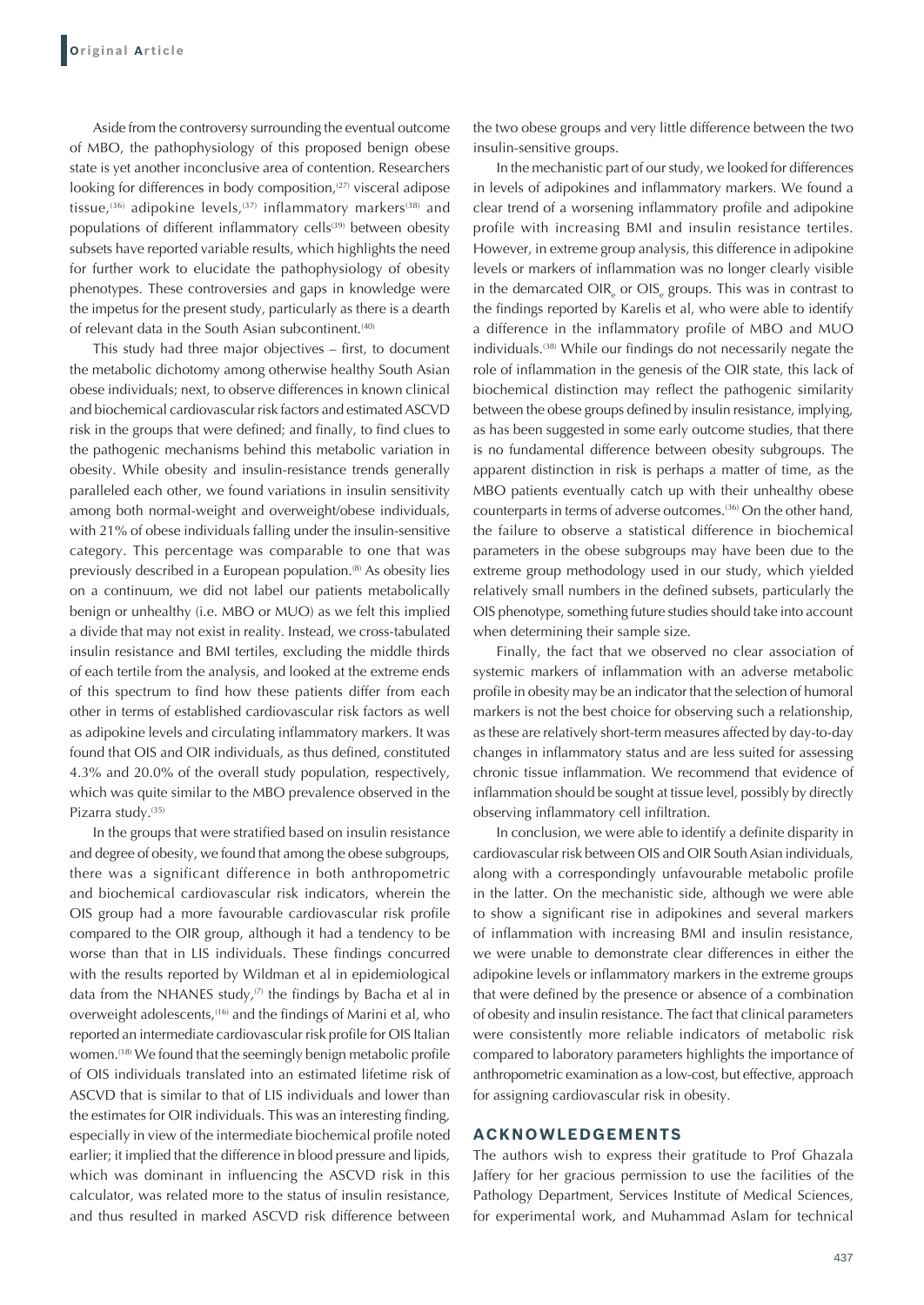Aside from the controversy surrounding the eventual outcome of MBO, the pathophysiology of this proposed benign obese state is yet another inconclusive area of contention. Researchers looking for differences in body composition,<sup>(27)</sup> visceral adipose tissue,<sup>(36)</sup> adipokine levels,<sup>(37)</sup> inflammatory markers<sup>(38)</sup> and populations of different inflammatory cells<sup>(39)</sup> between obesity subsets have reported variable results, which highlights the need for further work to elucidate the pathophysiology of obesity phenotypes. These controversies and gaps in knowledge were the impetus for the present study, particularly as there is a dearth of relevant data in the South Asian subcontinent.<sup>(40)</sup>

This study had three major objectives – first, to document the metabolic dichotomy among otherwise healthy South Asian obese individuals; next, to observe differences in known clinical and biochemical cardiovascular risk factors and estimated ASCVD risk in the groups that were defined; and finally, to find clues to the pathogenic mechanisms behind this metabolic variation in obesity. While obesity and insulin-resistance trends generally paralleled each other, we found variations in insulin sensitivity among both normal-weight and overweight/obese individuals, with 21% of obese individuals falling under the insulin-sensitive category. This percentage was comparable to one that was previously described in a European population.<sup>(8)</sup> As obesity lies on a continuum, we did not label our patients metabolically benign or unhealthy (i.e. MBO or MUO) as we felt this implied a divide that may not exist in reality. Instead, we cross-tabulated insulin resistance and BMI tertiles, excluding the middle thirds of each tertile from the analysis, and looked at the extreme ends of this spectrum to find how these patients differ from each other in terms of established cardiovascular risk factors as well as adipokine levels and circulating inflammatory markers. It was found that OIS and OIR individuals, as thus defined, constituted 4.3% and 20.0% of the overall study population, respectively, which was quite similar to the MBO prevalence observed in the Pizarra study.<sup>(35)</sup>

In the groups that were stratified based on insulin resistance and degree of obesity, we found that among the obese subgroups, there was a significant difference in both anthropometric and biochemical cardiovascular risk indicators, wherein the OIS group had a more favourable cardiovascular risk profile compared to the OIR group, although it had a tendency to be worse than that in LIS individuals. These findings concurred with the results reported by Wildman et al in epidemiological data from the NHANES study, $(7)$  the findings by Bacha et al in overweight adolescents,<sup>(16)</sup> and the findings of Marini et al, who reported an intermediate cardiovascular risk profile for OIS Italian women.(18) We found that the seemingly benign metabolic profile of OIS individuals translated into an estimated lifetime risk of ASCVD that is similar to that of LIS individuals and lower than the estimates for OIR individuals. This was an interesting finding, especially in view of the intermediate biochemical profile noted earlier; it implied that the difference in blood pressure and lipids, which was dominant in influencing the ASCVD risk in this calculator, was related more to the status of insulin resistance, and thus resulted in marked ASCVD risk difference between the two obese groups and very little difference between the two insulin-sensitive groups.

In the mechanistic part of our study, we looked for differences in levels of adipokines and inflammatory markers. We found a clear trend of a worsening inflammatory profile and adipokine profile with increasing BMI and insulin resistance tertiles. However, in extreme group analysis, this difference in adipokine levels or markers of inflammation was no longer clearly visible in the demarcated OIR<sub>e</sub> or OIS<sub>e</sub> groups. This was in contrast to the findings reported by Karelis et al, who were able to identify a difference in the inflammatory profile of MBO and MUO individuals.(38) While our findings do not necessarily negate the role of inflammation in the genesis of the OIR state, this lack of biochemical distinction may reflect the pathogenic similarity between the obese groups defined by insulin resistance, implying, as has been suggested in some early outcome studies, that there is no fundamental difference between obesity subgroups. The apparent distinction in risk is perhaps a matter of time, as the MBO patients eventually catch up with their unhealthy obese counterparts in terms of adverse outcomes.<sup>(36)</sup> On the other hand, the failure to observe a statistical difference in biochemical parameters in the obese subgroups may have been due to the extreme group methodology used in our study, which yielded relatively small numbers in the defined subsets, particularly the OIS phenotype, something future studies should take into account when determining their sample size.

Finally, the fact that we observed no clear association of systemic markers of inflammation with an adverse metabolic profile in obesity may be an indicator that the selection of humoral markers is not the best choice for observing such a relationship, as these are relatively short-term measures affected by day-to-day changes in inflammatory status and are less suited for assessing chronic tissue inflammation. We recommend that evidence of inflammation should be sought at tissue level, possibly by directly observing inflammatory cell infiltration.

In conclusion, we were able to identify a definite disparity in cardiovascular risk between OIS and OIR South Asian individuals, along with a correspondingly unfavourable metabolic profile in the latter. On the mechanistic side, although we were able to show a significant rise in adipokines and several markers of inflammation with increasing BMI and insulin resistance, we were unable to demonstrate clear differences in either the adipokine levels or inflammatory markers in the extreme groups that were defined by the presence or absence of a combination of obesity and insulin resistance. The fact that clinical parameters were consistently more reliable indicators of metabolic risk compared to laboratory parameters highlights the importance of anthropometric examination as a low-cost, but effective, approach for assigning cardiovascular risk in obesity.

#### **ACKNOWLEDGEMENTS**

The authors wish to express their gratitude to Prof Ghazala Jaffery for her gracious permission to use the facilities of the Pathology Department, Services Institute of Medical Sciences, for experimental work, and Muhammad Aslam for technical